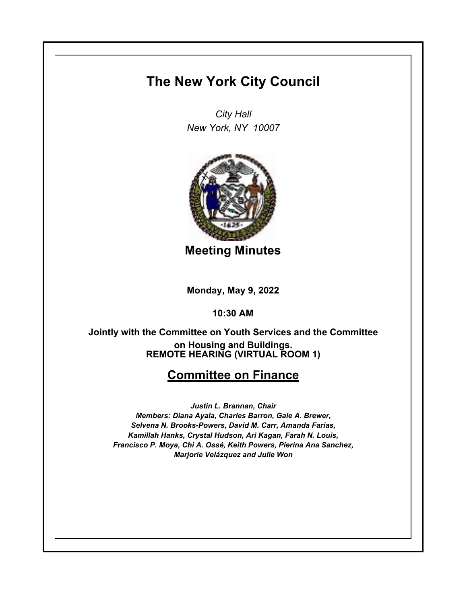## **The New York City Council**

*City Hall New York, NY 10007*



**Meeting Minutes**

**Monday, May 9, 2022**

**10:30 AM**

**REMOTE HEARING (VIRTUAL ROOM 1) Jointly with the Committee on Youth Services and the Committee on Housing and Buildings.**

## **Committee on Finance**

*Justin L. Brannan, Chair Members: Diana Ayala, Charles Barron, Gale A. Brewer, Selvena N. Brooks-Powers, David M. Carr, Amanda Farias, Kamillah Hanks, Crystal Hudson, Ari Kagan, Farah N. Louis, Francisco P. Moya, Chi A. Ossé, Keith Powers, Pierina Ana Sanchez, Marjorie Velázquez and Julie Won*